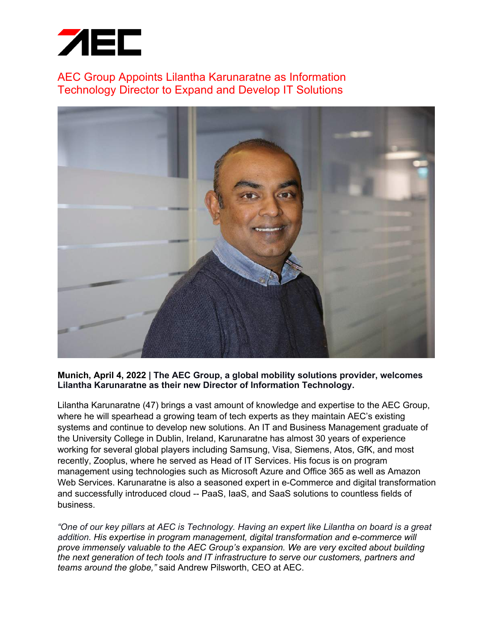

AEC Group Appoints Lilantha Karunaratne as Information Technology Director to Expand and Develop IT Solutions



## **Munich, April 4, 2022 | The AEC Group, a global mobility solutions provider, welcomes Lilantha Karunaratne as their new Director of Information Technology.**

Lilantha Karunaratne (47) brings a vast amount of knowledge and expertise to the AEC Group, where he will spearhead a growing team of tech experts as they maintain AEC's existing systems and continue to develop new solutions. An IT and Business Management graduate of the University College in Dublin, Ireland, Karunaratne has almost 30 years of experience working for several global players including Samsung, Visa, Siemens, Atos, GfK, and most recently, Zooplus, where he served as Head of IT Services. His focus is on program management using technologies such as Microsoft Azure and Office 365 as well as Amazon Web Services. Karunaratne is also a seasoned expert in e-Commerce and digital transformation and successfully introduced cloud -- PaaS, IaaS, and SaaS solutions to countless fields of business.

*"One of our key pillars at AEC is Technology. Having an expert like Lilantha on board is a great addition. His expertise in program management, digital transformation and e-commerce will prove immensely valuable to the AEC Group's expansion. We are very excited about building the next generation of tech tools and IT infrastructure to serve our customers, partners and teams around the globe,"* said Andrew Pilsworth, CEO at AEC.